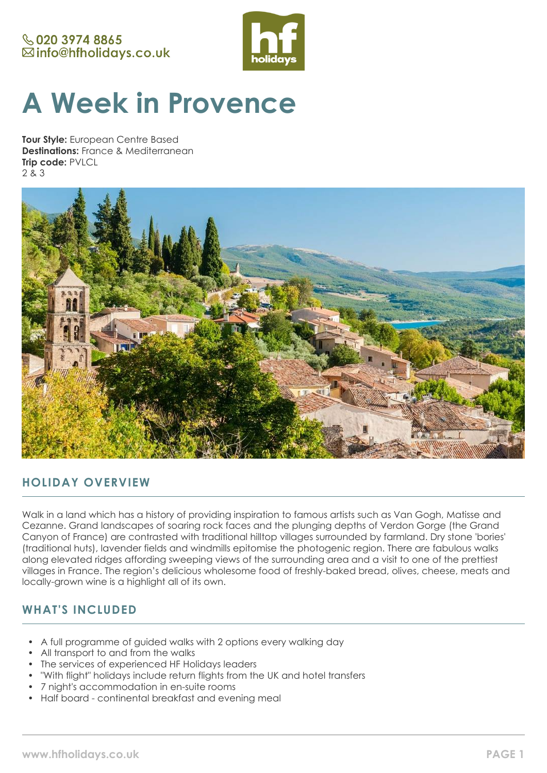## **& 020 3974 8865** ⊠info@hfholidays.co.uk



# **A Week in Provence**

**Tour Style:** European Centre Based **Destinations:** France & Mediterranean **Trip code:** PVLCL 2 & 3



# **HOLIDAY OVERVIEW**

Walk in a land which has a history of providing inspiration to famous artists such as Van Gogh, Matisse and Cezanne. Grand landscapes of soaring rock faces and the plunging depths of Verdon Gorge (the Grand Canyon of France) are contrasted with traditional hilltop villages surrounded by farmland. Dry stone 'bories' (traditional huts), lavender fields and windmills epitomise the photogenic region. There are fabulous walks along elevated ridges affording sweeping views of the surrounding area and a visit to one of the prettiest villages in France. The region's delicious wholesome food of freshly-baked bread, olives, cheese, meats and locally-grown wine is a highlight all of its own.

# **WHAT'S INCLUDED**

- A full programme of guided walks with 2 options every walking day
- All transport to and from the walks
- The services of experienced HF Holidays leaders
- "With flight" holidays include return flights from the UK and hotel transfers
- 7 night's accommodation in en-suite rooms
- Half board continental breakfast and evening meal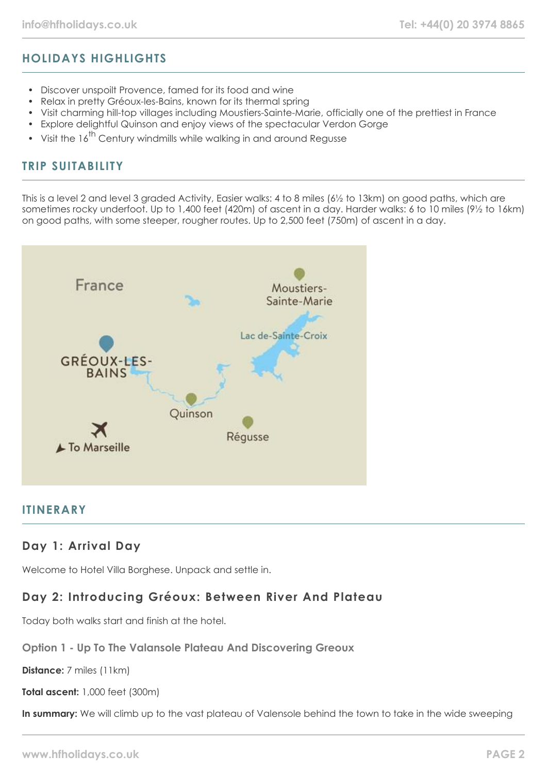# **HOLIDAYS HIGHLIGHTS**

- Discover unspoilt Provence, famed for its food and wine
- Relax in pretty Gréoux-les-Bains, known for its thermal spring
- Visit charming hill-top villages including Moustiers-Sainte-Marie, officially one of the prettiest in France
- Explore delightful Quinson and enjoy views of the spectacular Verdon Gorge
- Visit the  $16^{th}$  Century windmills while walking in and around Regusse

## **TRIP SUITABILITY**

This is a level 2 and level 3 graded Activity, Easier walks: 4 to 8 miles (6½ to 13km) on good paths, which are sometimes rocky underfoot. Up to 1,400 feet (420m) of ascent in a day. Harder walks: 6 to 10 miles (9½ to 16km) on good paths, with some steeper, rougher routes. Up to 2,500 feet (750m) of ascent in a day.



## **ITINERARY**

#### **Day 1: Arrival Day**

Welcome to Hotel Villa Borghese. Unpack and settle in.

## **Day 2: Introducing Gréoux: Between River And Plateau**

Today both walks start and finish at the hotel.

#### **Option 1 - Up To The Valansole Plateau And Discovering Greoux**

**Distance:** 7 miles (11km)

**Total ascent:** 1,000 feet (300m)

In summary: We will climb up to the vast plateau of Valensole behind the town to take in the wide sweeping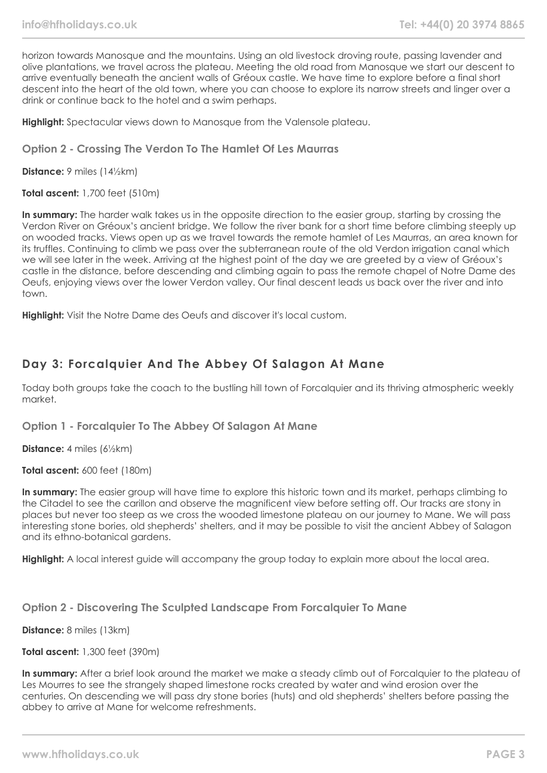horizon towards Manosque and the mountains. Using an old livestock droving route, passing lavender and olive plantations, we travel across the plateau. Meeting the old road from Manosque we start our descent to arrive eventually beneath the ancient walls of Gréoux castle. We have time to explore before a final short descent into the heart of the old town, where you can choose to explore its narrow streets and linger over a drink or continue back to the hotel and a swim perhaps.

**Highlight:** Spectacular views down to Manosque from the Valensole plateau.

#### **Option 2 - Crossing The Verdon To The Hamlet Of Les Maurras**

**Distance:** 9 miles (14½km)

**Total ascent:** 1,700 feet (510m)

**In summary:** The harder walk takes us in the opposite direction to the easier group, starting by crossing the Verdon River on Gréoux's ancient bridge. We follow the river bank for a short time before climbing steeply up on wooded tracks. Views open up as we travel towards the remote hamlet of Les Maurras, an area known for its truffles. Continuing to climb we pass over the subterranean route of the old Verdon irrigation canal which we will see later in the week. Arriving at the highest point of the day we are greeted by a view of Gréoux's castle in the distance, before descending and climbing again to pass the remote chapel of Notre Dame des Oeufs, enjoying views over the lower Verdon valley. Our final descent leads us back over the river and into town.

**Highlight:** Visit the Notre Dame des Oeufs and discover it's local custom.

## **Day 3: Forcalquier And The Abbey Of Salagon At Mane**

Today both groups take the coach to the bustling hill town of Forcalquier and its thriving atmospheric weekly market.

**Option 1 - Forcalquier To The Abbey Of Salagon At Mane**

**Distance:** 4 miles (6½km)

**Total ascent:** 600 feet (180m)

**In summary:** The easier group will have time to explore this historic town and its market, perhaps climbing to the Citadel to see the carillon and observe the magnificent view before setting off. Our tracks are stony in places but never too steep as we cross the wooded limestone plateau on our journey to Mane. We will pass interesting stone bories, old shepherds' shelters, and it may be possible to visit the ancient Abbey of Salagon and its ethno-botanical gardens.

**Highlight:** A local interest guide will accompany the group today to explain more about the local area.

**Option 2 - Discovering The Sculpted Landscape From Forcalquier To Mane**

**Distance:** 8 miles (13km)

**Total ascent:** 1,300 feet (390m)

**In summary:** After a brief look around the market we make a steady climb out of Forcalquier to the plateau of Les Mourres to see the strangely shaped limestone rocks created by water and wind erosion over the centuries. On descending we will pass dry stone bories (huts) and old shepherds' shelters before passing the abbey to arrive at Mane for welcome refreshments.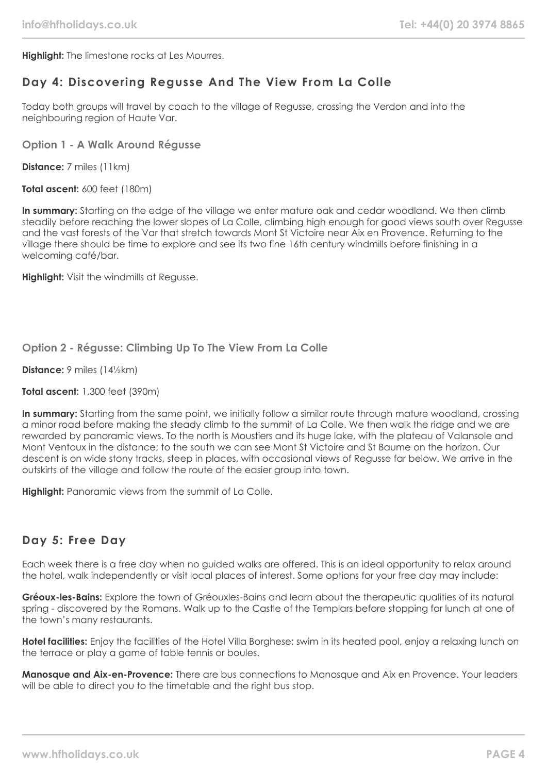**Highlight:** The limestone rocks at Les Mourres.

## **Day 4: Discovering Regusse And The View From La Colle**

Today both groups will travel by coach to the village of Regusse, crossing the Verdon and into the neighbouring region of Haute Var.

#### **Option 1 - A Walk Around Régusse**

**Distance:** 7 miles (11km)

**Total ascent:** 600 feet (180m)

**In summary:** Starting on the edge of the village we enter mature oak and cedar woodland. We then climb steadily before reaching the lower slopes of La Colle, climbing high enough for good views south over Regusse and the vast forests of the Var that stretch towards Mont St Victoire near Aix en Provence. Returning to the village there should be time to explore and see its two fine 16th century windmills before finishing in a welcoming café/bar.

**Highlight:** Visit the windmills at Regusse.

#### **Option 2 - Régusse: Climbing Up To The View From La Colle**

**Distance:** 9 miles (14½km)

**Total ascent:** 1,300 feet (390m)

**In summary:** Starting from the same point, we initially follow a similar route through mature woodland, crossing a minor road before making the steady climb to the summit of La Colle. We then walk the ridge and we are rewarded by panoramic views. To the north is Moustiers and its huge lake, with the plateau of Valansole and Mont Ventoux in the distance; to the south we can see Mont St Victoire and St Baume on the horizon. Our descent is on wide stony tracks, steep in places, with occasional views of Regusse far below. We arrive in the outskirts of the village and follow the route of the easier group into town.

**Highlight:** Panoramic views from the summit of La Colle.

#### **Day 5: Free Day**

Each week there is a free day when no guided walks are offered. This is an ideal opportunity to relax around the hotel, walk independently or visit local places of interest. Some options for your free day may include:

**Gréoux-les-Bains:** Explore the town of Gréouxles-Bains and learn about the therapeutic qualities of its natural spring - discovered by the Romans. Walk up to the Castle of the Templars before stopping for lunch at one of the town's many restaurants.

**Hotel facilities:** Enjoy the facilities of the Hotel Villa Borghese; swim in its heated pool, enjoy a relaxing lunch on the terrace or play a game of table tennis or boules.

**Manosque and Aix-en-Provence:** There are bus connections to Manosque and Aix en Provence. Your leaders will be able to direct you to the timetable and the right bus stop.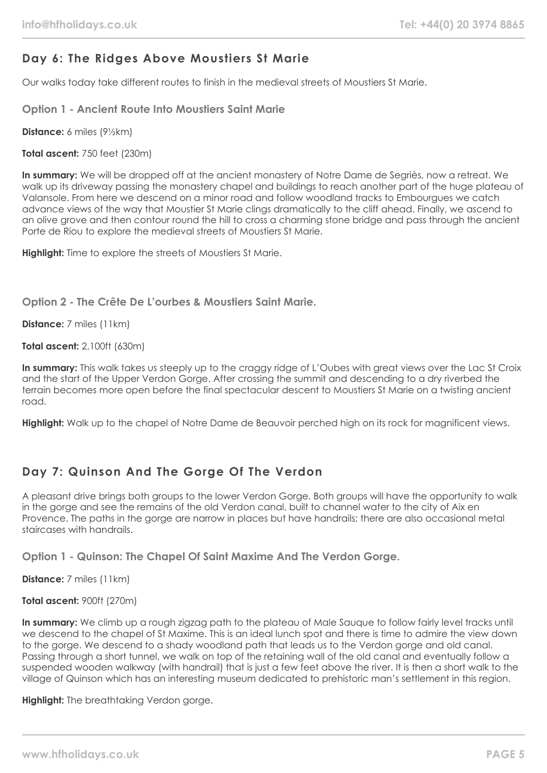# **Day 6: The Ridges Above Moustiers St Marie**

Our walks today take different routes to finish in the medieval streets of Moustiers St Marie.

**Option 1 - Ancient Route Into Moustiers Saint Marie**

**Distance:** 6 miles (9½km)

**Total ascent:** 750 feet (230m)

**In summary:** We will be dropped off at the ancient monastery of Notre Dame de Segriès, now a retreat. We walk up its driveway passing the monastery chapel and buildings to reach another part of the huge plateau of Valansole. From here we descend on a minor road and follow woodland tracks to Embourgues we catch advance views of the way that Moustier St Marie clings dramatically to the cliff ahead. Finally, we ascend to an olive grove and then contour round the hill to cross a charming stone bridge and pass through the ancient Porte de Riou to explore the medieval streets of Moustiers St Marie.

**Highlight:** Time to explore the streets of Moustiers St Marie.

#### **Option 2 - The Crête De L'ourbes & Moustiers Saint Marie.**

**Distance:** 7 miles (11km)

**Total ascent:** 2,100ft (630m)

**In summary:** This walk takes us steeply up to the craggy ridge of L'Oubes with great views over the Lac St Croix and the start of the Upper Verdon Gorge. After crossing the summit and descending to a dry riverbed the terrain becomes more open before the final spectacular descent to Moustiers St Marie on a twisting ancient road.

**Highlight:** Walk up to the chapel of Notre Dame de Beauvoir perched high on its rock for magnificent views.

# **Day 7: Quinson And The Gorge Of The Verdon**

A pleasant drive brings both groups to the lower Verdon Gorge. Both groups will have the opportunity to walk in the gorge and see the remains of the old Verdon canal, built to channel water to the city of Aix en Provence. The paths in the gorge are narrow in places but have handrails; there are also occasional metal staircases with handrails.

**Option 1 - Quinson: The Chapel Of Saint Maxime And The Verdon Gorge.**

**Distance:** 7 miles (11km)

**Total ascent:** 900ft (270m)

**In summary:** We climb up a rough zigzag path to the plateau of Male Sauque to follow fairly level tracks until we descend to the chapel of St Maxime. This is an ideal lunch spot and there is time to admire the view down to the gorge. We descend to a shady woodland path that leads us to the Verdon gorge and old canal. Passing through a short tunnel, we walk on top of the retaining wall of the old canal and eventually follow a suspended wooden walkway (with handrail) that is just a few feet above the river. It is then a short walk to the village of Quinson which has an interesting museum dedicated to prehistoric man's settlement in this region.

**Highlight:** The breathtaking Verdon gorge.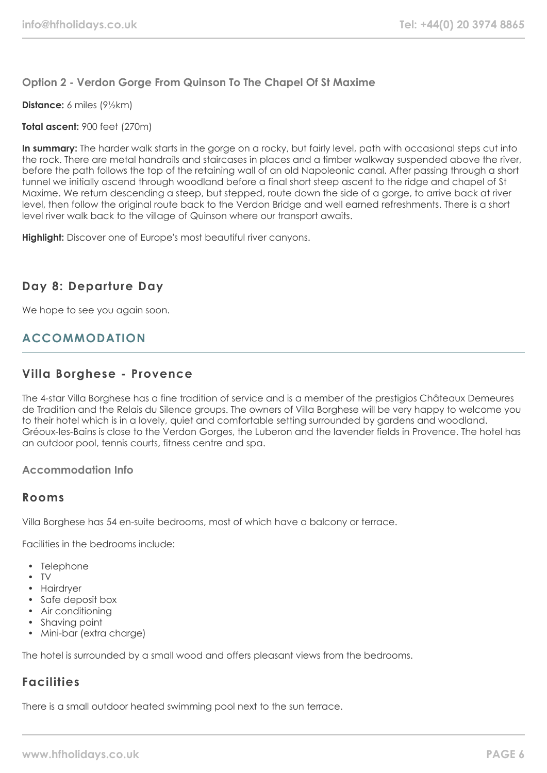#### **Option 2 - Verdon Gorge From Quinson To The Chapel Of St Maxime**

**Distance:** 6 miles (9½km)

#### **Total ascent:** 900 feet (270m)

**In summary:** The harder walk starts in the gorge on a rocky, but fairly level, path with occasional steps cut into the rock. There are metal handrails and staircases in places and a timber walkway suspended above the river, before the path follows the top of the retaining wall of an old Napoleonic canal. After passing through a short tunnel we initially ascend through woodland before a final short steep ascent to the ridge and chapel of St Maxime. We return descending a steep, but stepped, route down the side of a gorge, to arrive back at river level, then follow the original route back to the Verdon Bridge and well earned refreshments. There is a short level river walk back to the village of Quinson where our transport awaits.

**Highlight:** Discover one of Europe's most beautiful river canyons.

### **Day 8: Departure Day**

We hope to see you again soon.

## **ACCOMMODATION**

#### **Villa Borghese - Provence**

The 4-star Villa Borghese has a fine tradition of service and is a member of the prestigios Châteaux Demeures de Tradition and the Relais du Silence groups. The owners of Villa Borghese will be very happy to welcome you to their hotel which is in a lovely, quiet and comfortable setting surrounded by gardens and woodland. Gréoux-les-Bains is close to the Verdon Gorges, the Luberon and the lavender fields in Provence. The hotel has an outdoor pool, tennis courts, fitness centre and spa.

#### **Accommodation Info**

#### **Rooms**

Villa Borghese has 54 en-suite bedrooms, most of which have a balcony or terrace.

Facilities in the bedrooms include:

- Telephone
- TV
- Hairdryer
- Safe deposit box
- Air conditioning
- Shaving point
- Mini-bar (extra charge)

The hotel is surrounded by a small wood and offers pleasant views from the bedrooms.

# **Facilities**

There is a small outdoor heated swimming pool next to the sun terrace.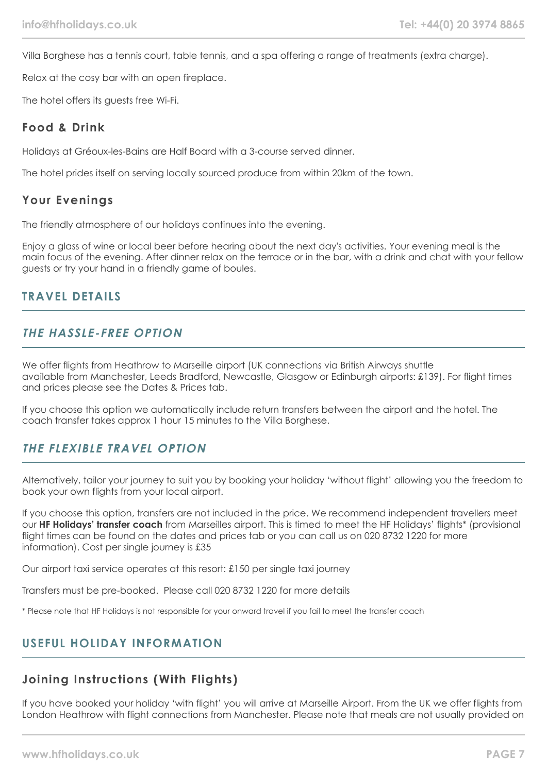Villa Borghese has a tennis court, table tennis, and a spa offering a range of treatments (extra charge).

Relax at the cosy bar with an open fireplace.

The hotel offers its guests free Wi-Fi.

### **Food & Drink**

Holidays at Gréoux-les-Bains are Half Board with a 3-course served dinner.

The hotel prides itself on serving locally sourced produce from within 20km of the town.

### **Your Evenings**

The friendly atmosphere of our holidays continues into the evening.

Enjoy a glass of wine or local beer before hearing about the next day's activities. Your evening meal is the main focus of the evening. After dinner relax on the terrace or in the bar, with a drink and chat with your fellow guests or try your hand in a friendly game of boules.

## **TRAVEL DETAILS**

### **THE HASSLE-FREE OPTION**

We offer flights from Heathrow to Marseille airport (UK connections via British Airways shuttle available from Manchester, Leeds Bradford, Newcastle, Glasgow or Edinburgh airports: £139). For flight times and prices please see the Dates & Prices tab.

If you choose this option we automatically include return transfers between the airport and the hotel. The coach transfer takes approx 1 hour 15 minutes to the Villa Borghese.

## **THE FLEXIBLE TRAVEL OPTION**

Alternatively, tailor your journey to suit you by booking your holiday 'without flight' allowing you the freedom to book your own flights from your local airport.

If you choose this option, transfers are not included in the price. We recommend independent travellers meet our **HF Holidays' transfer coach** from Marseilles airport. This is timed to meet the HF Holidays' flights\* (provisional flight times can be found on the dates and prices tab or you can call us on 020 8732 1220 for more information). Cost per single journey is £35

Our airport taxi service operates at this resort: £150 per single taxi journey

Transfers must be pre-booked. Please call 020 8732 1220 for more details

\* Please note that HF Holidays is not responsible for your onward travel if you fail to meet the transfer coach

# **USEFUL HOLIDAY INFORMATION**

# **Joining Instructions (With Flights)**

If you have booked your holiday 'with flight' you will arrive at Marseille Airport. From the UK we offer flights from London Heathrow with flight connections from Manchester. Please note that meals are not usually provided on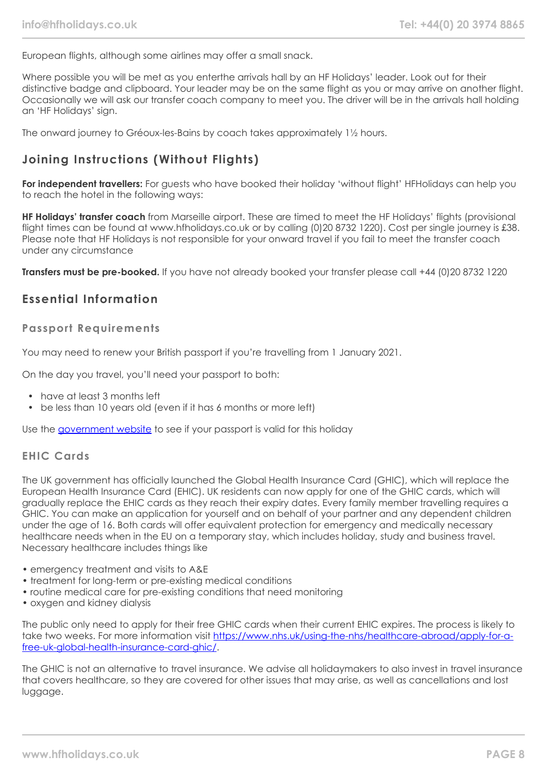European flights, although some airlines may offer a small snack.

Where possible you will be met as you enterthe arrivals hall by an HF Holidays' leader. Look out for their distinctive badge and clipboard. Your leader may be on the same flight as you or may arrive on another flight. Occasionally we will ask our transfer coach company to meet you. The driver will be in the arrivals hall holding an 'HF Holidays' sign.

The onward journey to Gréoux-les-Bains by coach takes approximately 1½ hours.

# **Joining Instructions (Without Flights)**

**For independent travellers:** For guests who have booked their holiday 'without flight' HFHolidays can help you to reach the hotel in the following ways:

**HF Holidays' transfer coach** from Marseille airport. These are timed to meet the HF Holidays' flights (provisional flight times can be found at www.hfholidays.co.uk or by calling (0)20 8732 1220). Cost per single journey is £38. Please note that HF Holidays is not responsible for your onward travel if you fail to meet the transfer coach under any circumstance

**Transfers must be pre-booked.** If you have not already booked your transfer please call +44 (0)20 8732 1220

# **Essential Information**

#### **Passport Requirements**

You may need to renew your British passport if you're travelling from 1 January 2021.

On the day you travel, you'll need your passport to both:

- have at least 3 months left
- be less than 10 years old (even if it has 6 months or more left)

Use the [government website](https://www.gov.uk/check-a-passport-travel-europe-1-january-2021) to see if your passport is valid for this holiday

#### **EHIC Cards**

The UK government has officially launched the Global Health Insurance Card (GHIC), which will replace the European Health Insurance Card (EHIC). UK residents can now apply for one of the GHIC cards, which will gradually replace the EHIC cards as they reach their expiry dates. Every family member travelling requires a GHIC. You can make an application for yourself and on behalf of your partner and any dependent children under the age of 16. Both cards will offer equivalent protection for emergency and medically necessary healthcare needs when in the EU on a temporary stay, which includes holiday, study and business travel. Necessary healthcare includes things like

- emergency treatment and visits to A&E
- treatment for long-term or pre-existing medical conditions
- routine medical care for pre-existing conditions that need monitoring
- oxygen and kidney dialysis

The public only need to apply for their free GHIC cards when their current EHIC expires. The process is likely to take two weeks. For more information visit [https://www.nhs.uk/using-the-nhs/healthcare-abroad/apply-for-a](https://www.nhs.uk/using-the-nhs/healthcare-abroad/apply-for-a-free-uk-global-health-insurance-card-ghic/)[free-uk-global-health-insurance-card-ghic/.](https://www.nhs.uk/using-the-nhs/healthcare-abroad/apply-for-a-free-uk-global-health-insurance-card-ghic/)

The GHIC is not an alternative to travel insurance. We advise all holidaymakers to also invest in travel insurance that covers healthcare, so they are covered for other issues that may arise, as well as cancellations and lost luggage.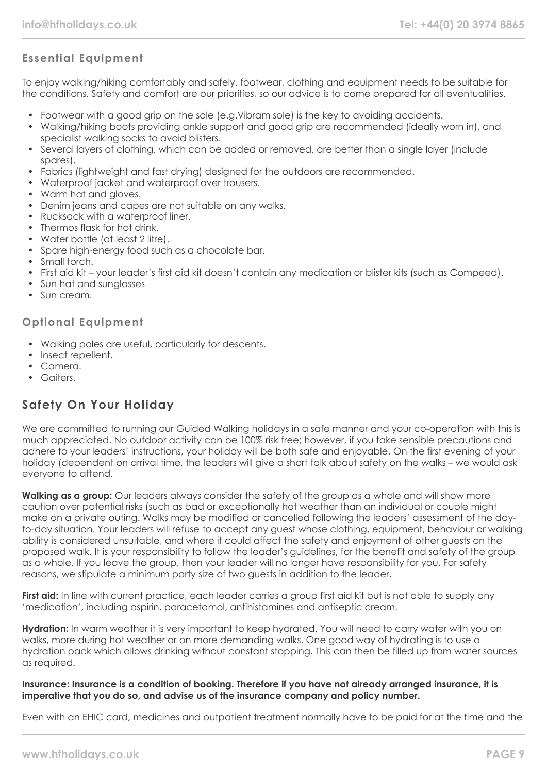## **Essential Equipment**

To enjoy walking/hiking comfortably and safely, footwear, clothing and equipment needs to be suitable for the conditions. Safety and comfort are our priorities, so our advice is to come prepared for all eventualities.

- Footwear with a good grip on the sole (e.g.Vibram sole) is the key to avoiding accidents.
- Walking/hiking boots providing ankle support and good grip are recommended (ideally worn in), and specialist walking socks to avoid blisters.
- Several layers of clothing, which can be added or removed, are better than a single layer (include spares).
- Fabrics (lightweight and fast drying) designed for the outdoors are recommended.
- Waterproof jacket and waterproof over trousers.
- Warm hat and gloves.
- Denim jeans and capes are not suitable on any walks.
- Rucksack with a waterproof liner.
- Thermos flask for hot drink.
- Water bottle (at least 2 litre).
- Spare high-energy food such as a chocolate bar.
- Small torch.
- First aid kit your leader's first aid kit doesn't contain any medication or blister kits (such as Compeed).
- Sun hat and sunalasses
- Sun cream.

#### **Optional Equipment**

- Walking poles are useful, particularly for descents.
- Insect repellent.
- Camera.
- Gaiters.

## **Safety On Your Holiday**

We are committed to running our Guided Walking holidays in a safe manner and your co-operation with this is much appreciated. No outdoor activity can be 100% risk free; however, if you take sensible precautions and adhere to your leaders' instructions, your holiday will be both safe and enjoyable. On the first evening of your holiday (dependent on arrival time, the leaders will give a short talk about safety on the walks – we would ask everyone to attend.

**Walking as a group:** Our leaders always consider the safety of the group as a whole and will show more caution over potential risks (such as bad or exceptionally hot weather than an individual or couple might make on a private outing. Walks may be modified or cancelled following the leaders' assessment of the dayto-day situation. Your leaders will refuse to accept any guest whose clothing, equipment, behaviour or walking ability is considered unsuitable, and where it could affect the safety and enjoyment of other guests on the proposed walk. It is your responsibility to follow the leader's guidelines, for the benefit and safety of the group as a whole. If you leave the group, then your leader will no longer have responsibility for you. For safety reasons, we stipulate a minimum party size of two guests in addition to the leader.

**First aid:** In line with current practice, each leader carries a group first aid kit but is not able to supply any 'medication', including aspirin, paracetamol, antihistamines and antiseptic cream.

**Hydration:** In warm weather it is very important to keep hydrated. You will need to carry water with you on walks, more during hot weather or on more demanding walks. One good way of hydrating is to use a hydration pack which allows drinking without constant stopping. This can then be filled up from water sources as required.

#### **Insurance: Insurance is a condition of booking. Therefore if you have not already arranged insurance, it is imperative that you do so, and advise us of the insurance company and policy number.**

Even with an EHIC card, medicines and outpatient treatment normally have to be paid for at the time and the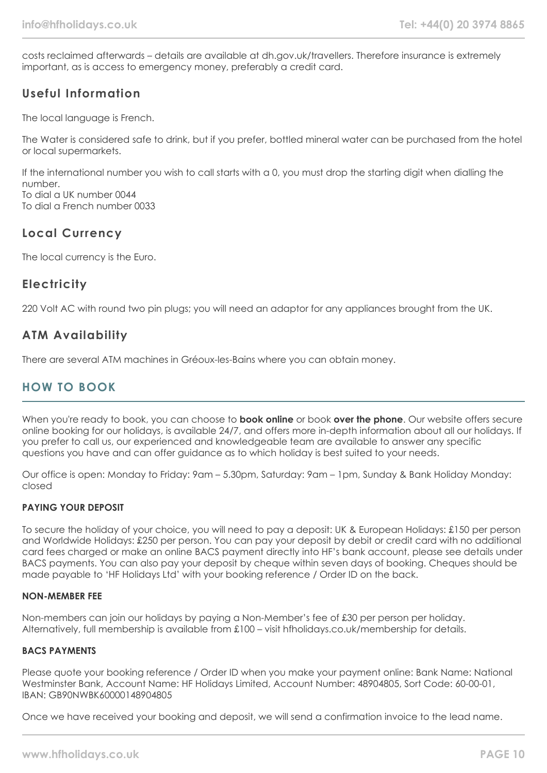costs reclaimed afterwards – details are available at dh.gov.uk/travellers. Therefore insurance is extremely important, as is access to emergency money, preferably a credit card.

### **Useful Information**

The local language is French.

The Water is considered safe to drink, but if you prefer, bottled mineral water can be purchased from the hotel or local supermarkets.

If the international number you wish to call starts with a 0, you must drop the starting digit when dialling the number. To dial a UK number 0044

To dial a French number 0033

## **Local Currency**

The local currency is the Euro.

## **Electricity**

220 Volt AC with round two pin plugs; you will need an adaptor for any appliances brought from the UK.

### **ATM Availability**

There are several ATM machines in Gréoux-les-Bains where you can obtain money.

# **HOW TO BOOK**

When you're ready to book, you can choose to **book online** or book **over the phone**. Our website offers secure online booking for our holidays, is available 24/7, and offers more in-depth information about all our holidays. If you prefer to call us, our experienced and knowledgeable team are available to answer any specific questions you have and can offer guidance as to which holiday is best suited to your needs.

Our office is open: Monday to Friday: 9am – 5.30pm, Saturday: 9am – 1pm, Sunday & Bank Holiday Monday: closed

#### **PAYING YOUR DEPOSIT**

To secure the holiday of your choice, you will need to pay a deposit: UK & European Holidays: £150 per person and Worldwide Holidays: £250 per person. You can pay your deposit by debit or credit card with no additional card fees charged or make an online BACS payment directly into HF's bank account, please see details under BACS payments. You can also pay your deposit by cheque within seven days of booking. Cheques should be made payable to 'HF Holidays Ltd' with your booking reference / Order ID on the back.

#### **NON-MEMBER FEE**

Non-members can join our holidays by paying a Non-Member's fee of £30 per person per holiday. Alternatively, full membership is available from £100 – visit hfholidays.co.uk/membership for details.

#### **BACS PAYMENTS**

Please quote your booking reference / Order ID when you make your payment online: Bank Name: National Westminster Bank, Account Name: HF Holidays Limited, Account Number: 48904805, Sort Code: 60-00-01, IBAN: GB90NWBK60000148904805

Once we have received your booking and deposit, we will send a confirmation invoice to the lead name.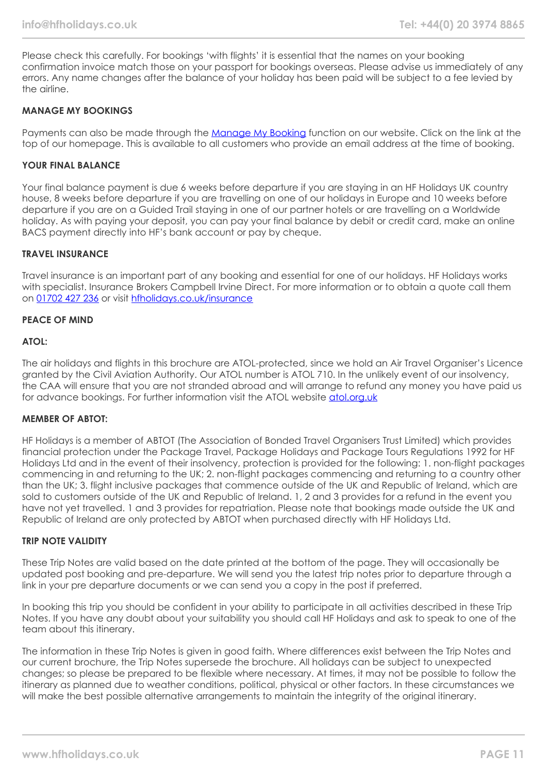Please check this carefully. For bookings 'with flights' it is essential that the names on your booking confirmation invoice match those on your passport for bookings overseas. Please advise us immediately of any errors. Any name changes after the balance of your holiday has been paid will be subject to a fee levied by the airline.

#### **MANAGE MY BOOKINGS**

Payments can also be made through the [Manage My Booking](https://www.hfholidays.co.uk/about-us/bookings/my-booking) function on our website. Click on the link at the top of our homepage. This is available to all customers who provide an email address at the time of booking.

#### **YOUR FINAL BALANCE**

Your final balance payment is due 6 weeks before departure if you are staying in an HF Holidays UK country house, 8 weeks before departure if you are travelling on one of our holidays in Europe and 10 weeks before departure if you are on a Guided Trail staying in one of our partner hotels or are travelling on a Worldwide holiday. As with paying your deposit, you can pay your final balance by debit or credit card, make an online BACS payment directly into HF's bank account or pay by cheque.

#### **TRAVEL INSURANCE**

Travel insurance is an important part of any booking and essential for one of our holidays. HF Holidays works with specialist. Insurance Brokers Campbell Irvine Direct. For more information or to obtain a quote call them on [01702 427 236](tel:01702427236) or visit [hfholidays.co.uk/insurance](https://www.hfholidays.co.uk/about-us/bookings/insurance)

#### **PEACE OF MIND**

#### **ATOL:**

The air holidays and flights in this brochure are ATOL-protected, since we hold an Air Travel Organiser's Licence granted by the Civil Aviation Authority. Our ATOL number is ATOL 710. In the unlikely event of our insolvency, the CAA will ensure that you are not stranded abroad and will arrange to refund any money you have paid us for advance bookings. For further information visit the ATOL website [atol.org.uk](https://www.atol.org/)

#### **MEMBER OF ABTOT:**

HF Holidays is a member of ABTOT (The Association of Bonded Travel Organisers Trust Limited) which provides financial protection under the Package Travel, Package Holidays and Package Tours Regulations 1992 for HF Holidays Ltd and in the event of their insolvency, protection is provided for the following: 1. non-flight packages commencing in and returning to the UK; 2. non-flight packages commencing and returning to a country other than the UK; 3. flight inclusive packages that commence outside of the UK and Republic of Ireland, which are sold to customers outside of the UK and Republic of Ireland. 1, 2 and 3 provides for a refund in the event you have not yet travelled. 1 and 3 provides for repatriation. Please note that bookings made outside the UK and Republic of Ireland are only protected by ABTOT when purchased directly with HF Holidays Ltd.

#### **TRIP NOTE VALIDITY**

These Trip Notes are valid based on the date printed at the bottom of the page. They will occasionally be updated post booking and pre-departure. We will send you the latest trip notes prior to departure through a link in your pre departure documents or we can send you a copy in the post if preferred.

In booking this trip you should be confident in your ability to participate in all activities described in these Trip Notes. If you have any doubt about your suitability you should call HF Holidays and ask to speak to one of the team about this itinerary.

The information in these Trip Notes is given in good faith. Where differences exist between the Trip Notes and our current brochure, the Trip Notes supersede the brochure. All holidays can be subject to unexpected changes; so please be prepared to be flexible where necessary. At times, it may not be possible to follow the itinerary as planned due to weather conditions, political, physical or other factors. In these circumstances we will make the best possible alternative arrangements to maintain the integrity of the original itinerary.